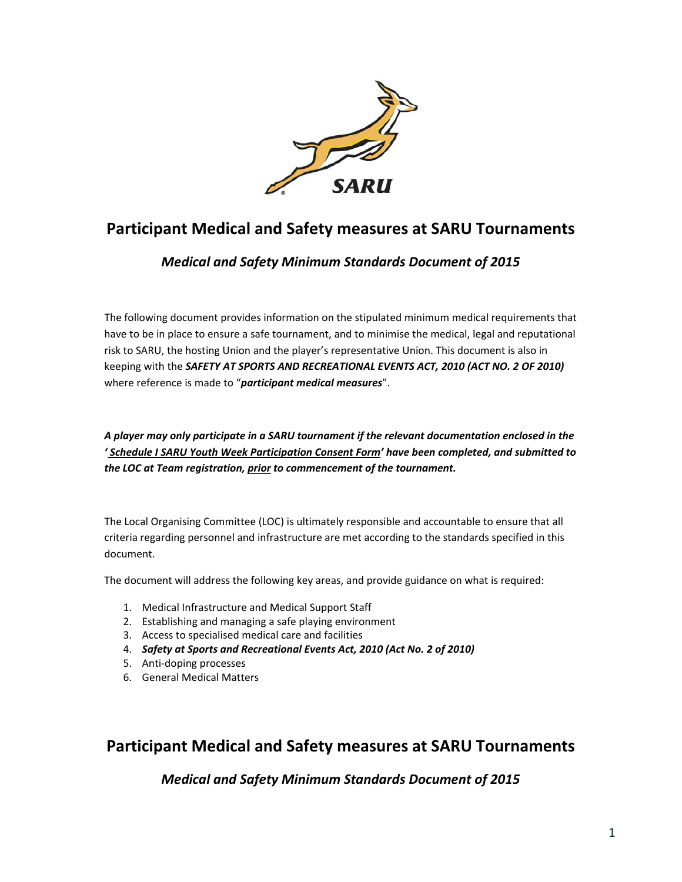

*Medical and Safety Minimum Standards Document of 2015*

The following document provides information on the stipulated minimum medical requirements that have to be in place to ensure a safe tournament, and to minimise the medical, legal and reputational risk to SARU, the hosting Union and the player's representative Union. This document is also in keeping with the *SAFETY AT SPORTS AND RECREATIONAL EVENTS ACT, 2010 (ACT NO. 2 OF 2010)* where reference is made to "*participant medical measures*".

*A player may only participate in a SARU tournament if the relevant documentation enclosed in the ' Schedule I SARU Youth Week Participation Consent Form' have been completed, and submitted to the LOC at Team registration, prior to commencement of the tournament.* 

The Local Organising Committee (LOC) is ultimately responsible and accountable to ensure that all criteria regarding personnel and infrastructure are met according to the standards specified in this document.

The document will address the following key areas, and provide guidance on what is required:

- 1. Medical Infrastructure and Medical Support Staff
- 2. Establishing and managing a safe playing environment
- 3. Access to specialised medical care and facilities
- 4. *Safety at Sports and Recreational Events Act, 2010 (Act No. 2 of 2010)*
- 5. Anti‐doping processes
- 6. General Medical Matters

# **Participant Medical and Safety measures at SARU Tournaments**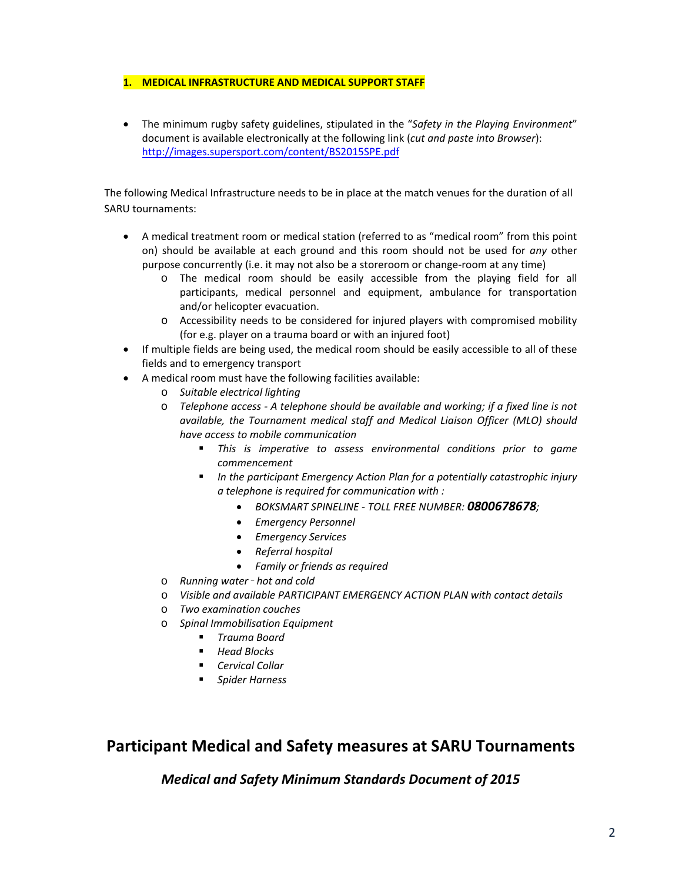### **1. MEDICAL INFRASTRUCTURE AND MEDICAL SUPPORT STAFF**

 The minimum rugby safety guidelines, stipulated in the "*Safety in the Playing Environment*" document is available electronically at the following link (*cut and paste into Browser*): http://images.supersport.com/content/BS2015SPE.pdf

The following Medical Infrastructure needs to be in place at the match venues for the duration of all SARU tournaments:

- A medical treatment room or medical station (referred to as "medical room" from this point on) should be available at each ground and this room should not be used for *any* other purpose concurrently (i.e. it may not also be a storeroom or change‐room at any time)
	- o The medical room should be easily accessible from the playing field for all participants, medical personnel and equipment, ambulance for transportation and/or helicopter evacuation.
	- o Accessibility needs to be considered for injured players with compromised mobility (for e.g. player on a trauma board or with an injured foot)
- If multiple fields are being used, the medical room should be easily accessible to all of these fields and to emergency transport
- A medical room must have the following facilities available:
	- o *Suitable electrical lighting*
	- o *Telephone access ‐ A telephone should be available and working; if a fixed line is not available, the Tournament medical staff and Medical Liaison Officer (MLO) should have access to mobile communication*
		- *This is imperative to assess environmental conditions prior to game commencement*
		- *In the participant Emergency Action Plan for a potentially catastrophic injury a telephone is required for communication with :*
			- *BOKSMART SPINELINE ‐ TOLL FREE NUMBER: 0800678678;*
			- *Emergency Personnel*
			- *Emergency Services*
			- *Referral hospital*
			- *Family or friends as required*
	- o *Running water hot and cold*
	- o *Visible and available PARTICIPANT EMERGENCY ACTION PLAN with contact details*
	- o *Two examination couches*
	- o *Spinal Immobilisation Equipment*
		- *Trauma Board*
		- *Head Blocks*
		- *Cervical Collar*
		- *Spider Harness*

# **Participant Medical and Safety measures at SARU Tournaments**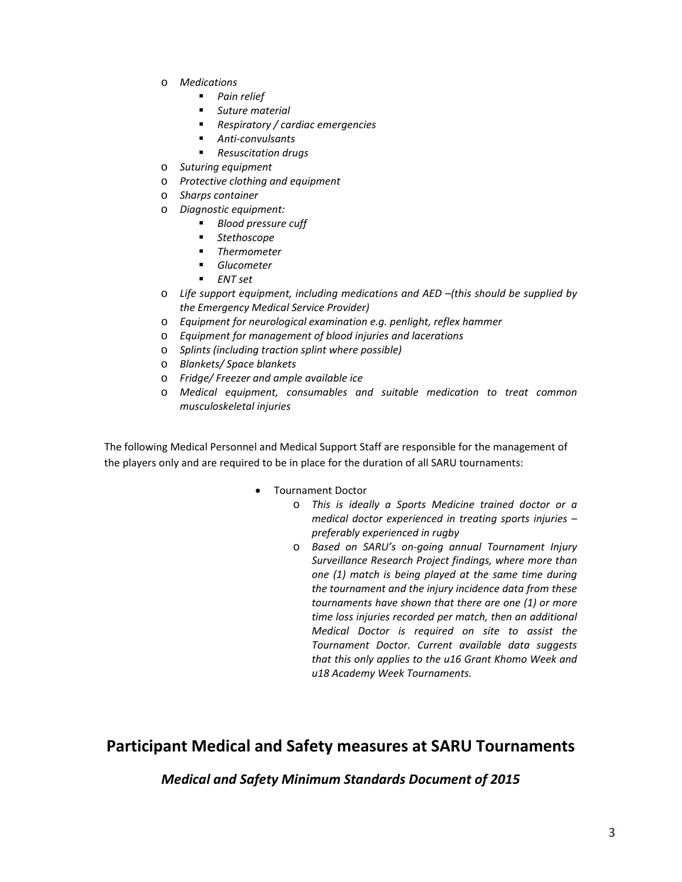- o *Medications*
	- *Pain relief*
	- *Suture material*
	- *Respiratory / cardiac emergencies*
	- *Anti‐convulsants*
	- *Resuscitation drugs*
- o *Suturing equipment*
- o *Protective clothing and equipment*
- o *Sharps container*
- o *Diagnostic equipment:*
	- *Blood pressure cuff*
	- *Stethoscope*
	- *Thermometer*
	- *Glucometer*
	- *ENT set*
- o *Life support equipment, including medications and AED –(this should be supplied by the Emergency Medical Service Provider)*
- o *Equipment for neurological examination e.g. penlight, reflex hammer*
- o *Equipment for management of blood injuries and lacerations*
- o *Splints (including traction splint where possible)*
- o *Blankets/ Space blankets*
- o *Fridge/ Freezer and ample available ice*
- o *Medical equipment, consumables and suitable medication to treat common musculoskeletal injuries*

The following Medical Personnel and Medical Support Staff are responsible for the management of the players only and are required to be in place for the duration of all SARU tournaments:

- Tournament Doctor
	- o *This is ideally a Sports Medicine trained doctor or a medical doctor experienced in treating sports injuries – preferably experienced in rugby*
	- o *Based on SARU's on‐going annual Tournament Injury Surveillance Research Project findings, where more than one (1) match is being played at the same time during the tournament and the injury incidence data from these tournaments have shown that there are one (1) or more time loss injuries recorded per match, then an additional Medical Doctor is required on site to assist the Tournament Doctor. Current available data suggests that this only applies to the u16 Grant Khomo Week and u18 Academy Week Tournaments.*

# **Participant Medical and Safety measures at SARU Tournaments**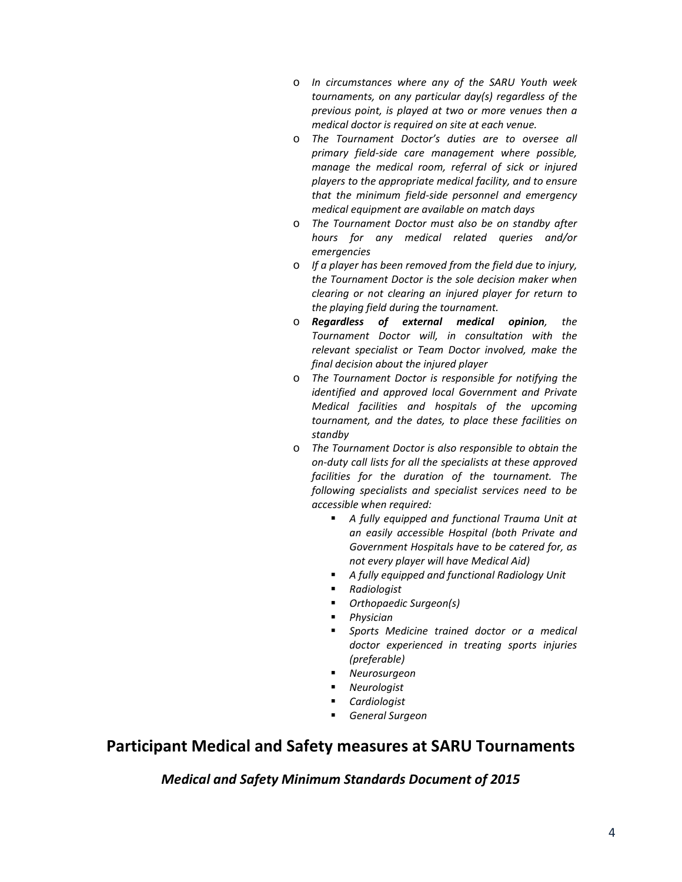- o *In circumstances where any of the SARU Youth week tournaments, on any particular day(s) regardless of the previous point, is played at two or more venues then a medical doctor is required on site at each venue.*
- o *The Tournament Doctor's duties are to oversee all primary field‐side care management where possible, manage the medical room, referral of sick or injured players to the appropriate medical facility, and to ensure that the minimum field‐side personnel and emergency medical equipment are available on match days*
- o *The Tournament Doctor must also be on standby after hours for any medical related queries and/or emergencies*
- o *If a player has been removed from the field due to injury, the Tournament Doctor is the sole decision maker when clearing or not clearing an injured player for return to the playing field during the tournament.*
- o *Regardless of external medical opinion, the Tournament Doctor will, in consultation with the relevant specialist or Team Doctor involved, make the final decision about the injured player*
- o *The Tournament Doctor is responsible for notifying the identified and approved local Government and Private Medical facilities and hospitals of the upcoming tournament, and the dates, to place these facilities on standby*
- o *The Tournament Doctor is also responsible to obtain the on‐duty call lists for all the specialists at these approved facilities for the duration of the tournament. The following specialists and specialist services need to be accessible when required:*
	- *A fully equipped and functional Trauma Unit at an easily accessible Hospital (both Private and Government Hospitals have to be catered for, as not every player will have Medical Aid)*
	- *A fully equipped and functional Radiology Unit*
	- *Radiologist*
		- *Orthopaedic Surgeon(s)*
	- *Physician*
	- *Sports Medicine trained doctor or a medical doctor experienced in treating sports injuries (preferable)*
	- *Neurosurgeon*
	- *Neurologist*
	- *Cardiologist*
	- *General Surgeon*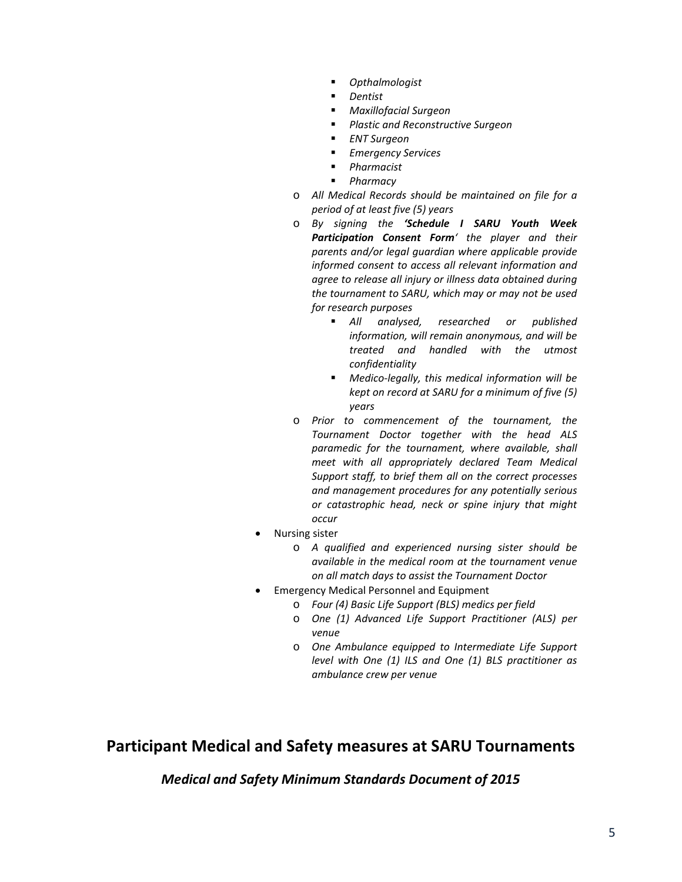- *Opthalmologist*
- *Dentist*
- *Maxillofacial Surgeon*
- *Plastic and Reconstructive Surgeon*
- *ENT Surgeon*
- *Emergency Services*
- *Pharmacist*
- *Pharmacy*
- o *All Medical Records should be maintained on file for a period of at least five (5) years*
- o *By signing the 'Schedule I SARU Youth Week Participation Consent Form' the player and their parents and/or legal guardian where applicable provide informed consent to access all relevant information and agree to release all injury or illness data obtained during the tournament to SARU, which may or may not be used for research purposes*
	- *All analysed, researched or published information, will remain anonymous, and will be treated and handled with the utmost confidentiality*
	- *Medico‐legally, this medical information will be kept on record at SARU for a minimum of five (5) years*
- o *Prior to commencement of the tournament, the Tournament Doctor together with the head ALS paramedic for the tournament, where available, shall meet with all appropriately declared Team Medical Support staff, to brief them all on the correct processes and management procedures for any potentially serious or catastrophic head, neck or spine injury that might occur*
- Nursing sister
	- o *A qualified and experienced nursing sister should be available in the medical room at the tournament venue on all match days to assist the Tournament Doctor*
- Emergency Medical Personnel and Equipment
	- o *Four (4) Basic Life Support (BLS) medics per field*
	- o *One (1) Advanced Life Support Practitioner (ALS) per venue*
	- o *One Ambulance equipped to Intermediate Life Support level with One (1) ILS and One (1) BLS practitioner as ambulance crew per venue*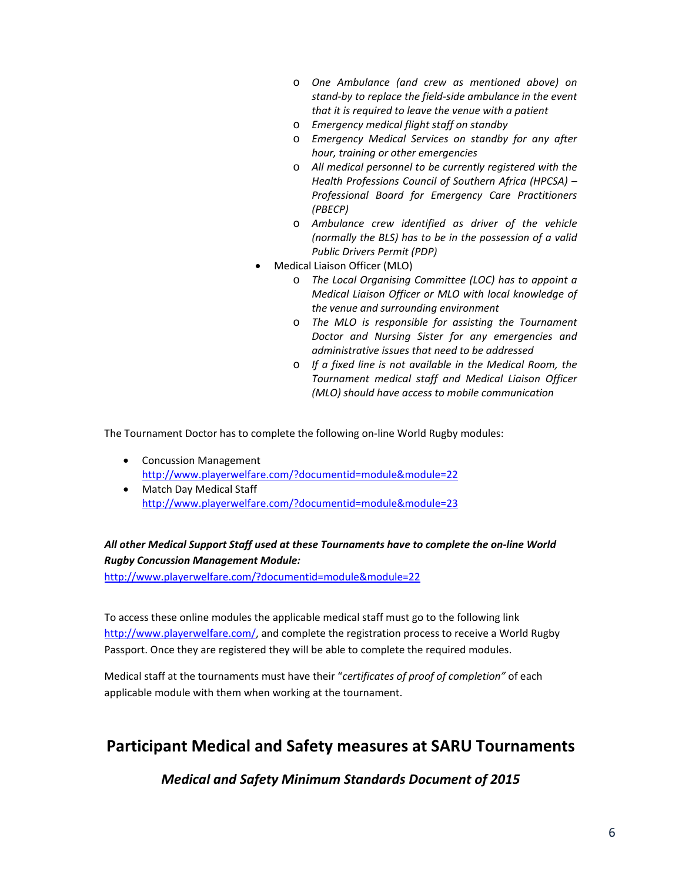- o *One Ambulance (and crew as mentioned above) on stand‐by to replace the field‐side ambulance in the event that it is required to leave the venue with a patient*
- o *Emergency medical flight staff on standby*
- o *Emergency Medical Services on standby for any after hour, training or other emergencies*
- o *All medical personnel to be currently registered with the Health Professions Council of Southern Africa (HPCSA) – Professional Board for Emergency Care Practitioners (PBECP)*
- o *Ambulance crew identified as driver of the vehicle (normally the BLS) has to be in the possession of a valid Public Drivers Permit (PDP)*
- Medical Liaison Officer (MLO)
	- o *The Local Organising Committee (LOC) has to appoint a Medical Liaison Officer or MLO with local knowledge of the venue and surrounding environment*
	- o *The MLO is responsible for assisting the Tournament Doctor and Nursing Sister for any emergencies and administrative issues that need to be addressed*
	- o *If a fixed line is not available in the Medical Room, the Tournament medical staff and Medical Liaison Officer (MLO) should have access to mobile communication*

The Tournament Doctor has to complete the following on‐line World Rugby modules:

- Concussion Management http://www.playerwelfare.com/?documentid=module&module=22
- Match Day Medical Staff http://www.playerwelfare.com/?documentid=module&module=23

## *All other Medical Support Staff used at these Tournaments have to complete the on‐line World Rugby Concussion Management Module:*

http://www.playerwelfare.com/?documentid=module&module=22

To access these online modules the applicable medical staff must go to the following link http://www.playerwelfare.com/, and complete the registration process to receive a World Rugby Passport. Once they are registered they will be able to complete the required modules.

Medical staff at the tournaments must have their "*certificates of proof of completion"* of each applicable module with them when working at the tournament.

# **Participant Medical and Safety measures at SARU Tournaments**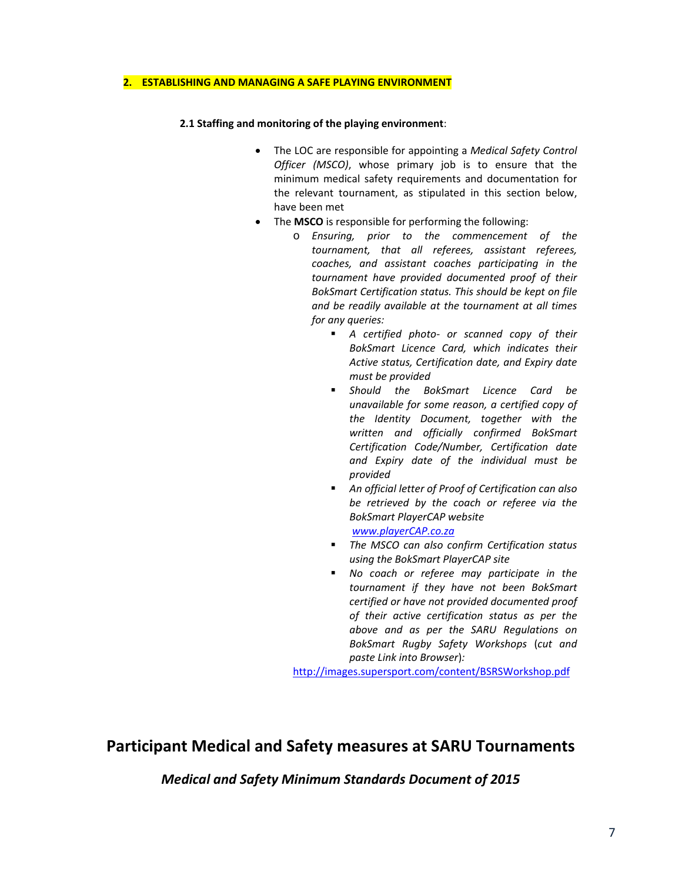#### **2. ESTABLISHING AND MANAGING A SAFE PLAYING ENVIRONMENT**

### **2.1 Staffing and monitoring of the playing environment**:

- The LOC are responsible for appointing a *Medical Safety Control Officer (MSCO)*, whose primary job is to ensure that the minimum medical safety requirements and documentation for the relevant tournament, as stipulated in this section below, have been met
- The **MSCO** is responsible for performing the following:
	- o *Ensuring, prior to the commencement of the tournament, that all referees, assistant referees, coaches, and assistant coaches participating in the tournament have provided documented proof of their BokSmart Certification status. This should be kept on file and be readily available at the tournament at all times for any queries:*
		- *A certified photo- or scanned copy of their BokSmart Licence Card, which indicates their Active status, Certification date, and Expiry date must be provided*
		- *Should the BokSmart Licence Card be unavailable for some reason, a certified copy of the Identity Document, together with the written and officially confirmed BokSmart Certification Code/Number, Certification date and Expiry date of the individual must be provided*
		- *An official letter of Proof of Certification can also be retrieved by the coach or referee via the BokSmart PlayerCAP website www.playerCAP.co.za*
		- *The MSCO can also confirm Certification status using the BokSmart PlayerCAP site*
		- *No coach or referee may participate in the tournament if they have not been BokSmart certified or have not provided documented proof of their active certification status as per the above and as per the SARU Regulations on BokSmart Rugby Safety Workshops* (*cut and paste Link into Browser*)*:*

http://images.supersport.com/content/BSRSWorkshop.pdf

# **Participant Medical and Safety measures at SARU Tournaments**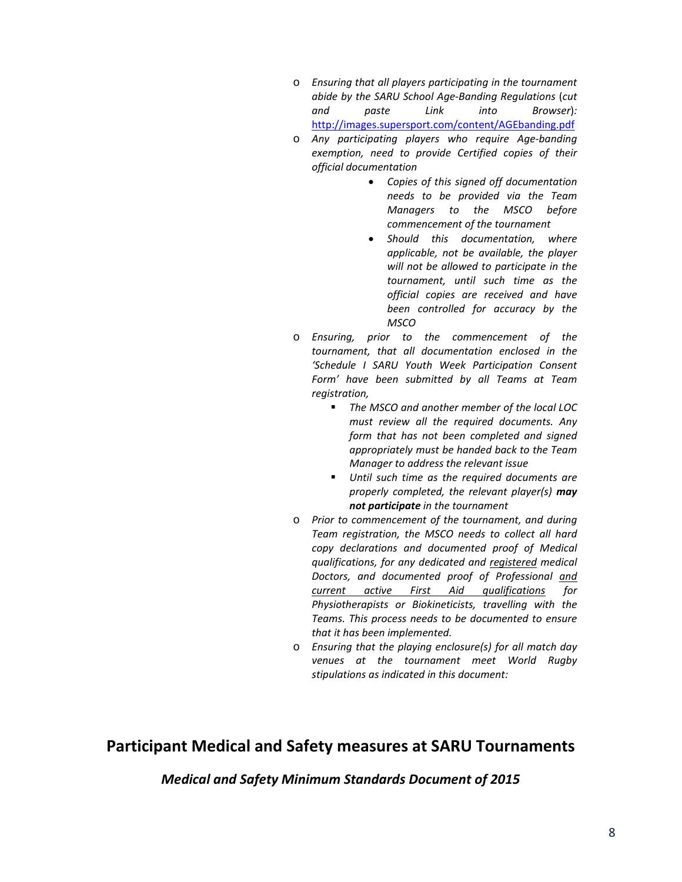- o *Ensuring that all players participating in the tournament abide by the SARU School Age‐Banding Regulations* (*cut and paste Link into Browser*)*:* http://images.supersport.com/content/AGEbanding.pdf
- o *Any participating players who require Age‐banding exemption, need to provide Certified copies of their official documentation* 
	- *Copies of this signed off documentation needs to be provided via the Team Managers to the MSCO before commencement of the tournament*
	- *Should this documentation, where applicable, not be available, the player will not be allowed to participate in the tournament, until such time as the official copies are received and have been controlled for accuracy by the MSCO*
- o *Ensuring, prior to the commencement of the tournament, that all documentation enclosed in the 'Schedule I SARU Youth Week Participation Consent Form' have been submitted by all Teams at Team registration,*
	- *The MSCO and another member of the local LOC must review all the required documents. Any form that has not been completed and signed appropriately must be handed back to the Team Manager to address the relevant issue*
	- *Until such time as the required documents are properly completed, the relevant player(s) may not participate in the tournament*
- o *Prior to commencement of the tournament, and during Team registration, the MSCO needs to collect all hard copy declarations and documented proof of Medical qualifications, for any dedicated and registered medical Doctors, and documented proof of Professional and current active First Aid qualifications for Physiotherapists or Biokineticists, travelling with the Teams. This process needs to be documented to ensure that it has been implemented.*
- o *Ensuring that the playing enclosure(s) for all match day venues at the tournament meet World Rugby stipulations as indicated in this document:*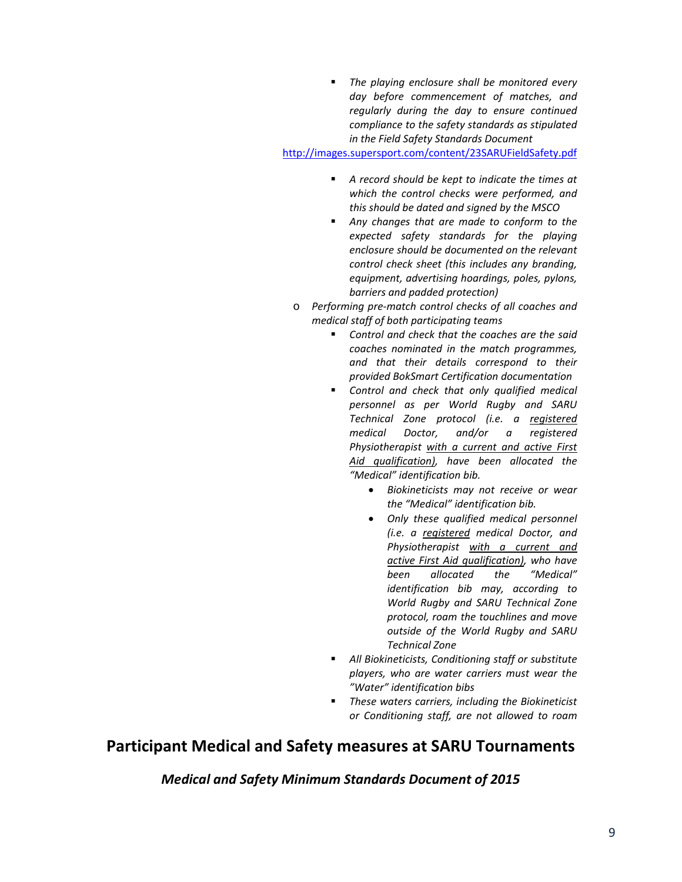*The playing enclosure shall be monitored every day before commencement of matches, and regularly during the day to ensure continued compliance to the safety standards as stipulated in the Field Safety Standards Document*

http://images.supersport.com/content/23SARUFieldSafety.pdf

- *A record should be kept to indicate the times at which the control checks were performed, and this should be dated and signed by the MSCO*
- *Any changes that are made to conform to the expected safety standards for the playing enclosure should be documented on the relevant control check sheet (this includes any branding, equipment, advertising hoardings, poles, pylons, barriers and padded protection)*
- o *Performing pre‐match control checks of all coaches and medical staff of both participating teams* 
	- *Control and check that the coaches are the said coaches nominated in the match programmes, and that their details correspond to their provided BokSmart Certification documentation*
	- *Control and check that only qualified medical personnel as per World Rugby and SARU Technical Zone protocol (i.e. a registered medical Doctor, and/or a registered Physiotherapist with a current and active First Aid qualification), have been allocated the "Medical" identification bib.* 
		- *Biokineticists may not receive or wear the "Medical" identification bib.*
		- *Only these qualified medical personnel (i.e. a registered medical Doctor, and Physiotherapist with a current and active First Aid qualification), who have been allocated the "Medical" identification bib may, according to World Rugby and SARU Technical Zone protocol, roam the touchlines and move outside of the World Rugby and SARU Technical Zone*
	- *All Biokineticists, Conditioning staff or substitute players, who are water carriers must wear the "Water" identification bibs*
	- *These waters carriers, including the Biokineticist or Conditioning staff, are not allowed to roam*

# **Participant Medical and Safety measures at SARU Tournaments**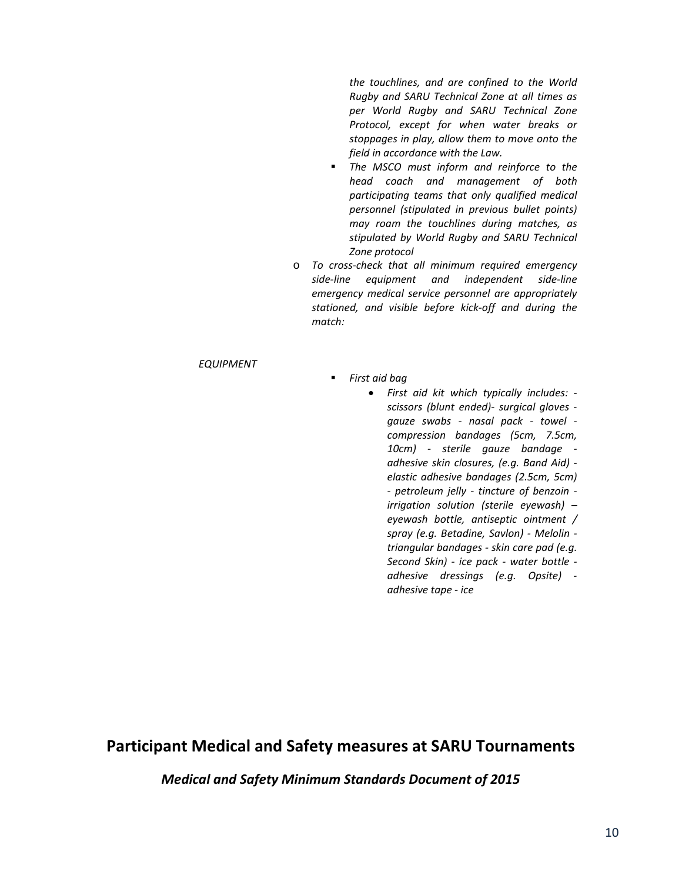*the touchlines, and are confined to the World Rugby and SARU Technical Zone at all times as per World Rugby and SARU Technical Zone Protocol, except for when water breaks or stoppages in play, allow them to move onto the field in accordance with the Law.*

- *The MSCO must inform and reinforce to the head coach and management of both participating teams that only qualified medical personnel (stipulated in previous bullet points) may roam the touchlines during matches, as stipulated by World Rugby and SARU Technical Zone protocol*
- o *To cross‐check that all minimum required emergency side‐line equipment and independent side‐line emergency medical service personnel are appropriately stationed, and visible before kick‐off and during the match:*

### *EQUIPMENT*

- *First aid bag* 
	- *First aid kit which typically includes: ‐ scissors (blunt ended)‐ surgical gloves ‐ gauze swabs ‐ nasal pack ‐ towel ‐ compression bandages (5cm, 7.5cm, 10cm) ‐ sterile gauze bandage ‐ adhesive skin closures, (e.g. Band Aid) ‐ elastic adhesive bandages (2.5cm, 5cm) ‐ petroleum jelly ‐ tincture of benzoin ‐ irrigation solution (sterile eyewash) – eyewash bottle, antiseptic ointment / spray (e.g. Betadine, Savlon) ‐ Melolin ‐ triangular bandages ‐ skin care pad (e.g. Second Skin) ‐ ice pack ‐ water bottle ‐ adhesive dressings (e.g. Opsite) ‐ adhesive tape ‐ ice*

# **Participant Medical and Safety measures at SARU Tournaments**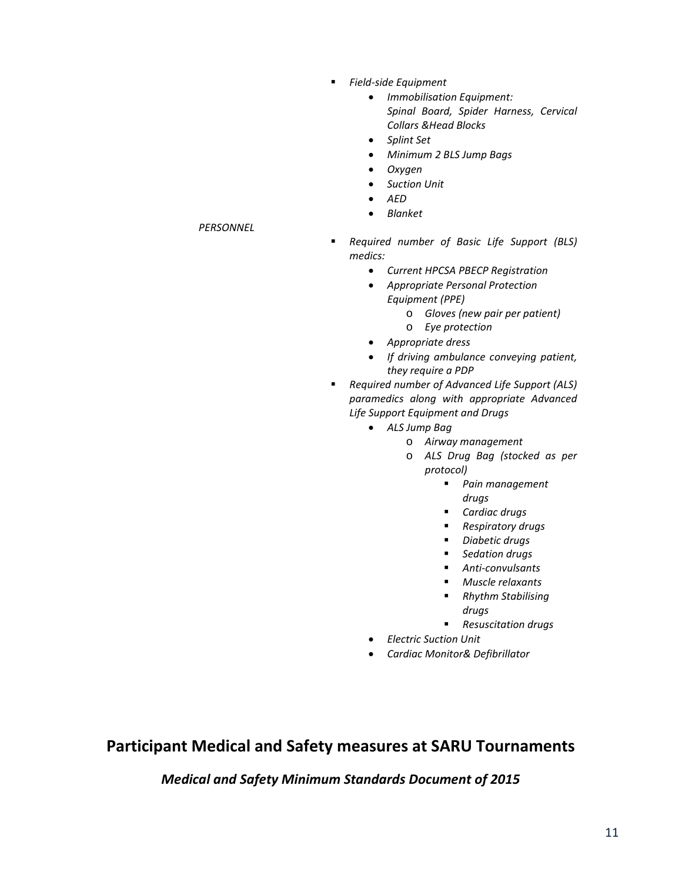- *Field‐side Equipment*
	- *Immobilisation Equipment: Spinal Board, Spider Harness, Cervical Collars &Head Blocks*
	- *Splint Set*
	- *Minimum 2 BLS Jump Bags*
	- *Oxygen*
	- *Suction Unit*
	- *AED*
	- *Blanket*
- *Required number of Basic Life Support (BLS) medics:* 
	- *Current HPCSA PBECP Registration*
	- *Appropriate Personal Protection*
		- *Equipment (PPE)*
			- o *Gloves (new pair per patient)*
		- o *Eye protection*
	- *Appropriate dress*
	- *If driving ambulance conveying patient, they require a PDP*
- *Required number of Advanced Life Support (ALS) paramedics along with appropriate Advanced Life Support Equipment and Drugs*
	- *ALS Jump Bag*
		- o *Airway management*
		- o *ALS Drug Bag (stocked as per protocol)*
			- *Pain management drugs*
			- *Cardiac drugs*
			- *Respiratory drugs*
			- *Diabetic drugs*
			- *Sedation drugs*
			- *Anti‐convulsants*
			- *Muscle relaxants*
			- *Rhythm Stabilising drugs*
			- *Resuscitation drugs*
		- *Electric Suction Unit*
	- *Cardiac Monitor& Defibrillator*

*Medical and Safety Minimum Standards Document of 2015*

## *PERSONNEL*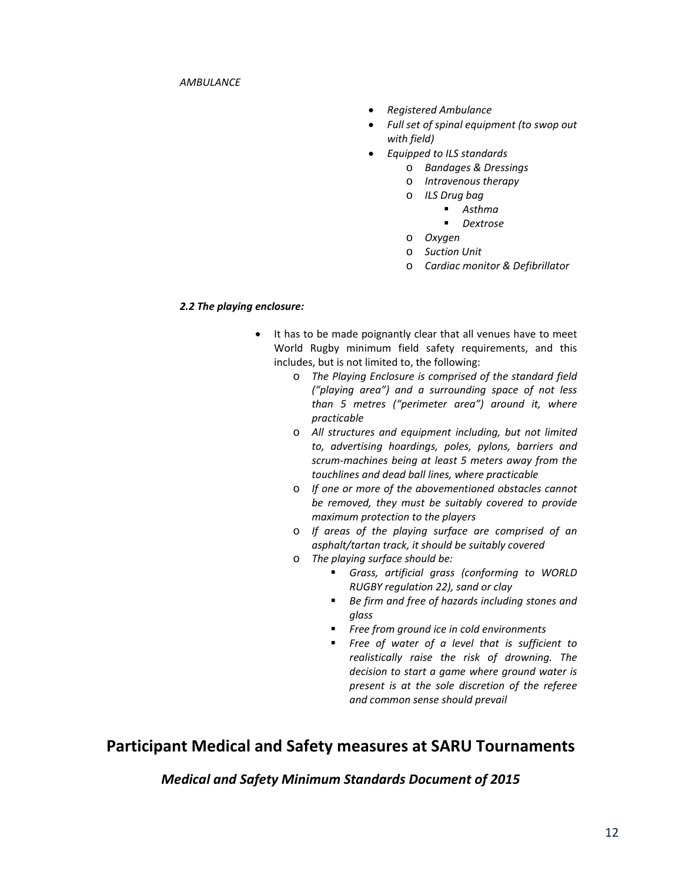- *Registered Ambulance*
- *Full set of spinal equipment (to swop out with field)*
- *Equipped to ILS standards*
	- o *Bandages & Dressings*
	- o *Intravenous therapy*
	- o *ILS Drug bag*
		- *Asthma*
			- *Dextrose*
	- o *Oxygen*
	- o *Suction Unit*
	- o *Cardiac monitor & Defibrillator*

### *2.2 The playing enclosure:*

- It has to be made poignantly clear that all venues have to meet World Rugby minimum field safety requirements, and this includes, but is not limited to, the following:
	- o *The Playing Enclosure is comprised of the standard field ("playing area") and a surrounding space of not less than 5 metres ("perimeter area") around it, where practicable*
	- o *All structures and equipment including, but not limited to, advertising hoardings, poles, pylons, barriers and scrum‐machines being at least 5 meters away from the touchlines and dead ball lines, where practicable*
	- o *If one or more of the abovementioned obstacles cannot be removed, they must be suitably covered to provide maximum protection to the players*
	- o *If areas of the playing surface are comprised of an asphalt/tartan track, it should be suitably covered*
	- o *The playing surface should be:*
		- *Grass, artificial grass (conforming to WORLD RUGBY regulation 22), sand or clay*
		- *Be firm and free of hazards including stones and glass*
		- *Free from ground ice in cold environments*
		- *Free of water of a level that is sufficient to realistically raise the risk of drowning. The decision to start a game where ground water is present is at the sole discretion of the referee and common sense should prevail*

# **Participant Medical and Safety measures at SARU Tournaments**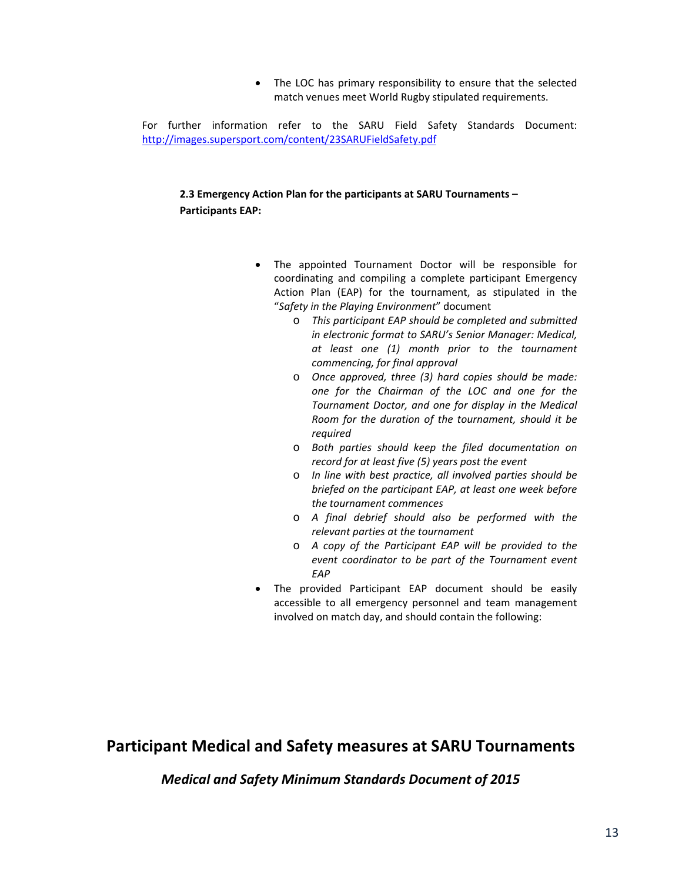• The LOC has primary responsibility to ensure that the selected match venues meet World Rugby stipulated requirements.

For further information refer to the SARU Field Safety Standards Document: http://images.supersport.com/content/23SARUFieldSafety.pdf

## **2.3 Emergency Action Plan for the participants at SARU Tournaments – Participants EAP:**

- The appointed Tournament Doctor will be responsible for coordinating and compiling a complete participant Emergency Action Plan (EAP) for the tournament, as stipulated in the "*Safety in the Playing Environment*" document
	- o *This participant EAP should be completed and submitted in electronic format to SARU's Senior Manager: Medical, at least one (1) month prior to the tournament commencing, for final approval*
	- o *Once approved, three (3) hard copies should be made: one for the Chairman of the LOC and one for the Tournament Doctor, and one for display in the Medical Room for the duration of the tournament, should it be required*
	- o *Both parties should keep the filed documentation on record for at least five (5) years post the event*
	- o *In line with best practice, all involved parties should be briefed on the participant EAP, at least one week before the tournament commences*
	- o *A final debrief should also be performed with the relevant parties at the tournament*
	- o *A copy of the Participant EAP will be provided to the event coordinator to be part of the Tournament event EAP*
- The provided Participant EAP document should be easily accessible to all emergency personnel and team management involved on match day, and should contain the following:

# **Participant Medical and Safety measures at SARU Tournaments**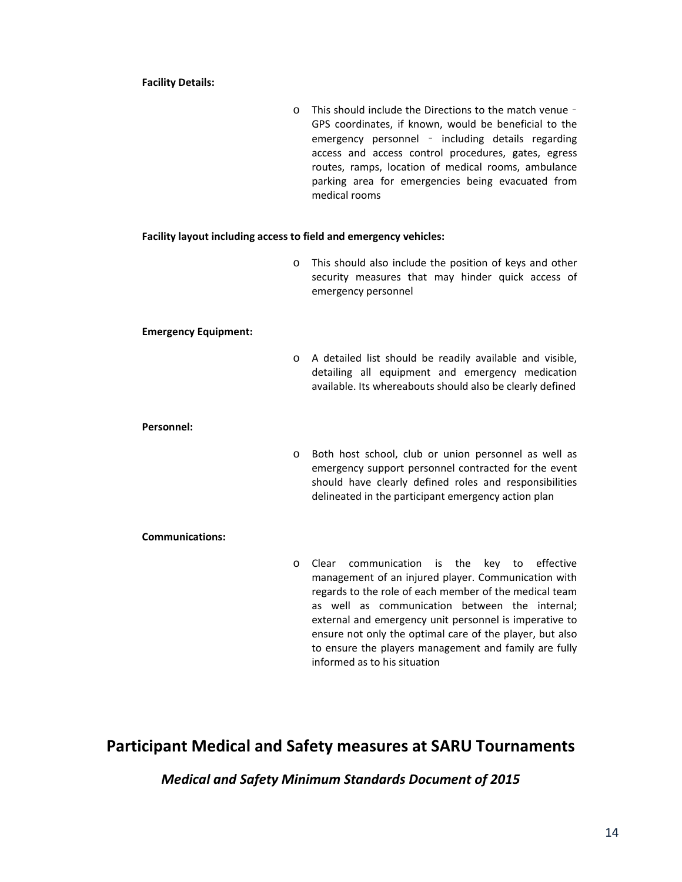#### **Facility Details:**

o This should include the Directions to the match venue – GPS coordinates, if known, would be beneficial to the emergency personnel – including details regarding access and access control procedures, gates, egress routes, ramps, location of medical rooms, ambulance parking area for emergencies being evacuated from medical rooms

### **Facility layout including access to field and emergency vehicles:**

o This should also include the position of keys and other security measures that may hinder quick access of emergency personnel

#### **Emergency Equipment:**

o A detailed list should be readily available and visible, detailing all equipment and emergency medication available. Its whereabouts should also be clearly defined

#### **Personnel:**

o Both host school, club or union personnel as well as emergency support personnel contracted for the event should have clearly defined roles and responsibilities delineated in the participant emergency action plan

#### **Communications:**

o Clear communication is the key to effective management of an injured player. Communication with regards to the role of each member of the medical team as well as communication between the internal; external and emergency unit personnel is imperative to ensure not only the optimal care of the player, but also to ensure the players management and family are fully informed as to his situation

# **Participant Medical and Safety measures at SARU Tournaments**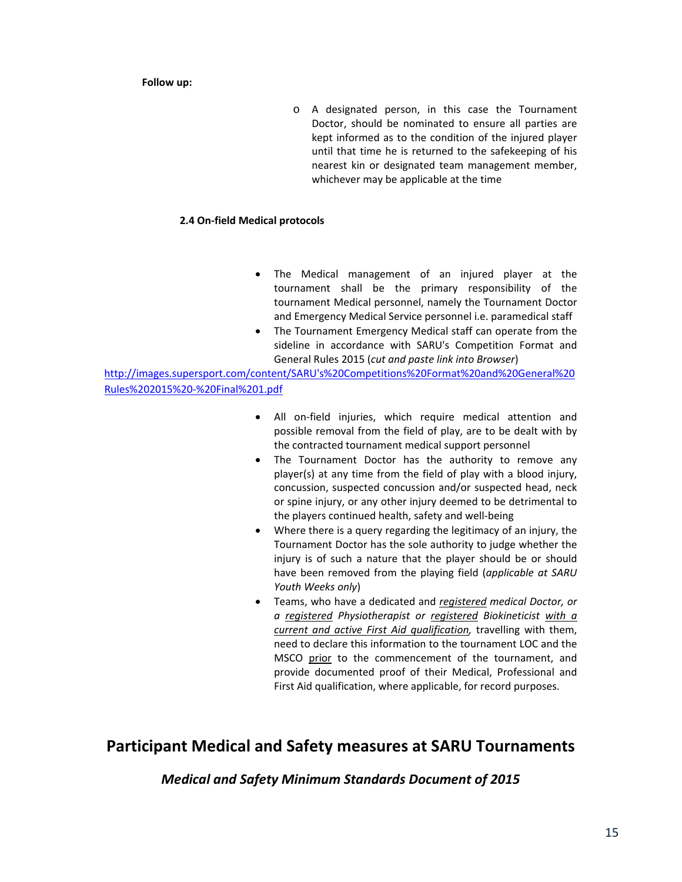#### **Follow up:**

o A designated person, in this case the Tournament Doctor, should be nominated to ensure all parties are kept informed as to the condition of the injured player until that time he is returned to the safekeeping of his nearest kin or designated team management member, whichever may be applicable at the time

### **2.4 On‐field Medical protocols**

- The Medical management of an injured player at the tournament shall be the primary responsibility of the tournament Medical personnel, namely the Tournament Doctor and Emergency Medical Service personnel i.e. paramedical staff
- The Tournament Emergency Medical staff can operate from the sideline in accordance with SARU's Competition Format and General Rules 2015 (*cut and paste link into Browser*)

http://images.supersport.com/content/SARU's%20Competitions%20Format%20and%20General%20 Rules%202015%20‐%20Final%201.pdf

- All on‐field injuries, which require medical attention and possible removal from the field of play, are to be dealt with by the contracted tournament medical support personnel
- The Tournament Doctor has the authority to remove any player(s) at any time from the field of play with a blood injury, concussion, suspected concussion and/or suspected head, neck or spine injury, or any other injury deemed to be detrimental to the players continued health, safety and well‐being
- Where there is a query regarding the legitimacy of an injury, the Tournament Doctor has the sole authority to judge whether the injury is of such a nature that the player should be or should have been removed from the playing field (*applicable at SARU Youth Weeks only*)
- Teams, who have a dedicated and *registered medical Doctor, or a registered Physiotherapist or registered Biokineticist with a current and active First Aid qualification,* travelling with them, need to declare this information to the tournament LOC and the MSCO prior to the commencement of the tournament, and provide documented proof of their Medical, Professional and First Aid qualification, where applicable, for record purposes.

# **Participant Medical and Safety measures at SARU Tournaments**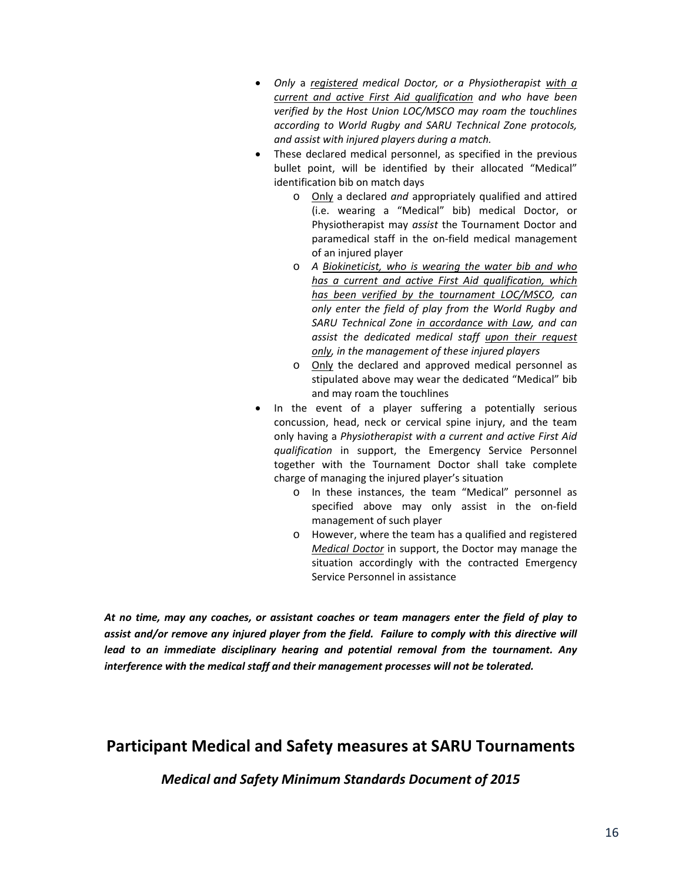- *Only* a *registered medical Doctor, or a Physiotherapist with a current and active First Aid qualification and who have been verified by the Host Union LOC/MSCO may roam the touchlines according to World Rugby and SARU Technical Zone protocols, and assist with injured players during a match.*
- These declared medical personnel, as specified in the previous bullet point, will be identified by their allocated "Medical" identification bib on match days
	- o Only a declared *and* appropriately qualified and attired (i.e. wearing a "Medical" bib) medical Doctor, or Physiotherapist may *assist* the Tournament Doctor and paramedical staff in the on-field medical management of an injured player
	- o *A Biokineticist, who is wearing the water bib and who has a current and active First Aid qualification, which has been verified by the tournament LOC/MSCO, can only enter the field of play from the World Rugby and SARU Technical Zone in accordance with Law, and can assist the dedicated medical staff upon their request only, in the management of these injured players*
	- o Only the declared and approved medical personnel as stipulated above may wear the dedicated "Medical" bib and may roam the touchlines
- In the event of a player suffering a potentially serious concussion, head, neck or cervical spine injury, and the team only having a *Physiotherapist with a current and active First Aid qualification* in support, the Emergency Service Personnel together with the Tournament Doctor shall take complete charge of managing the injured player's situation
	- o In these instances, the team "Medical" personnel as specified above may only assist in the on-field management of such player
	- o However, where the team has a qualified and registered *Medical Doctor* in support, the Doctor may manage the situation accordingly with the contracted Emergency Service Personnel in assistance

*At no time, may any coaches, or assistant coaches or team managers enter the field of play to assist and/or remove any injured player from the field. Failure to comply with this directive will lead to an immediate disciplinary hearing and potential removal from the tournament. Any interference with the medical staff and their management processes will not be tolerated.*

# **Participant Medical and Safety measures at SARU Tournaments**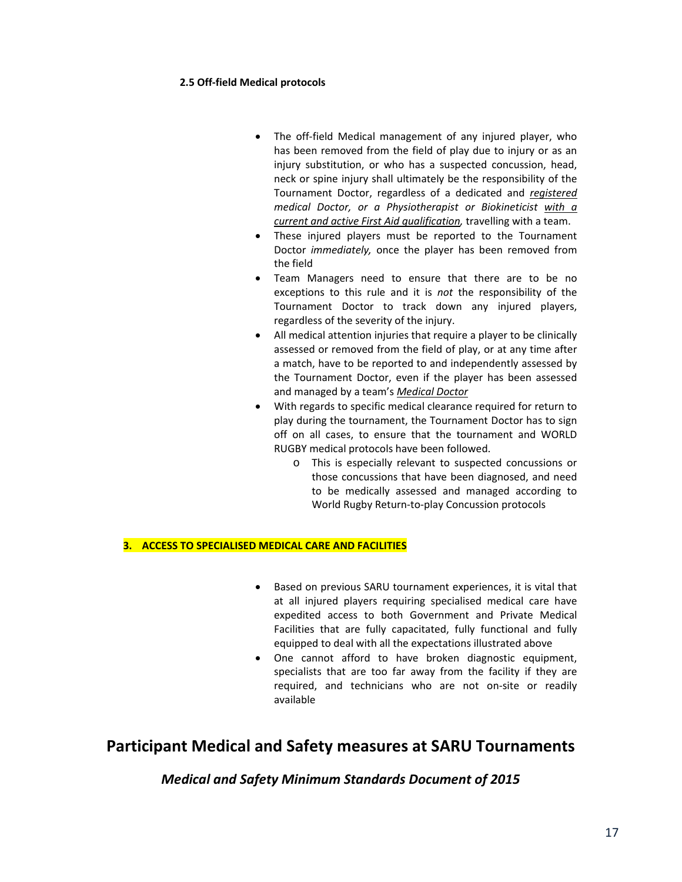### **2.5 Off‐field Medical protocols**

- The off-field Medical management of any injured player, who has been removed from the field of play due to injury or as an injury substitution, or who has a suspected concussion, head, neck or spine injury shall ultimately be the responsibility of the Tournament Doctor, regardless of a dedicated and *registered medical Doctor, or a Physiotherapist or Biokineticist with a current and active First Aid qualification,* travelling with a team.
- These injured players must be reported to the Tournament Doctor *immediately,* once the player has been removed from the field
- Team Managers need to ensure that there are to be no exceptions to this rule and it is *not* the responsibility of the Tournament Doctor to track down any injured players, regardless of the severity of the injury.
- All medical attention injuries that require a player to be clinically assessed or removed from the field of play, or at any time after a match, have to be reported to and independently assessed by the Tournament Doctor, even if the player has been assessed and managed by a team's *Medical Doctor*
- With regards to specific medical clearance required for return to play during the tournament, the Tournament Doctor has to sign off on all cases, to ensure that the tournament and WORLD RUGBY medical protocols have been followed.
	- o This is especially relevant to suspected concussions or those concussions that have been diagnosed, and need to be medically assessed and managed according to World Rugby Return‐to‐play Concussion protocols

## **3. ACCESS TO SPECIALISED MEDICAL CARE AND FACILITIES**

- Based on previous SARU tournament experiences, it is vital that at all injured players requiring specialised medical care have expedited access to both Government and Private Medical Facilities that are fully capacitated, fully functional and fully equipped to deal with all the expectations illustrated above
- One cannot afford to have broken diagnostic equipment, specialists that are too far away from the facility if they are required, and technicians who are not on‐site or readily available

# **Participant Medical and Safety measures at SARU Tournaments**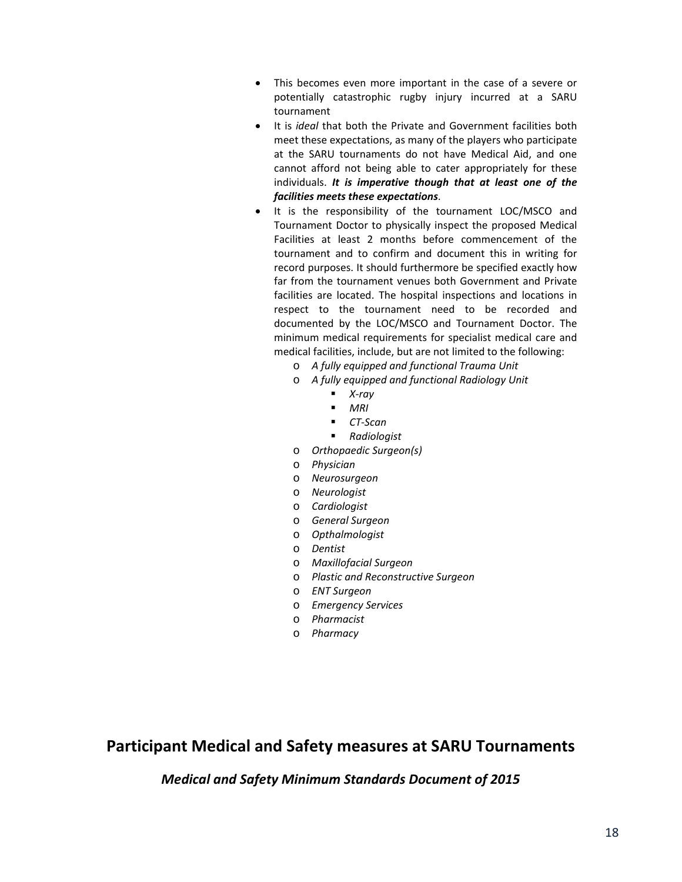- This becomes even more important in the case of a severe or potentially catastrophic rugby injury incurred at a SARU tournament
- It is *ideal* that both the Private and Government facilities both meet these expectations, as many of the players who participate at the SARU tournaments do not have Medical Aid, and one cannot afford not being able to cater appropriately for these individuals. *It is imperative though that at least one of the facilities meets these expectations*.
- It is the responsibility of the tournament LOC/MSCO and Tournament Doctor to physically inspect the proposed Medical Facilities at least 2 months before commencement of the tournament and to confirm and document this in writing for record purposes. It should furthermore be specified exactly how far from the tournament venues both Government and Private facilities are located. The hospital inspections and locations in respect to the tournament need to be recorded and documented by the LOC/MSCO and Tournament Doctor. The minimum medical requirements for specialist medical care and medical facilities, include, but are not limited to the following:
	- o *A fully equipped and functional Trauma Unit*
	- o *A fully equipped and functional Radiology Unit*
		- *X‐ray*
		- *MRI*
		- *CT‐Scan*
		- *Radiologist*
	- o *Orthopaedic Surgeon(s)*
	- o *Physician*
	- o *Neurosurgeon*
	- o *Neurologist*
	- o *Cardiologist*
	- o *General Surgeon*
	- o *Opthalmologist*
	- o *Dentist*
	- o *Maxillofacial Surgeon*
	- o *Plastic and Reconstructive Surgeon*
	- o *ENT Surgeon*
	- o *Emergency Services*
	- o *Pharmacist*
	- o *Pharmacy*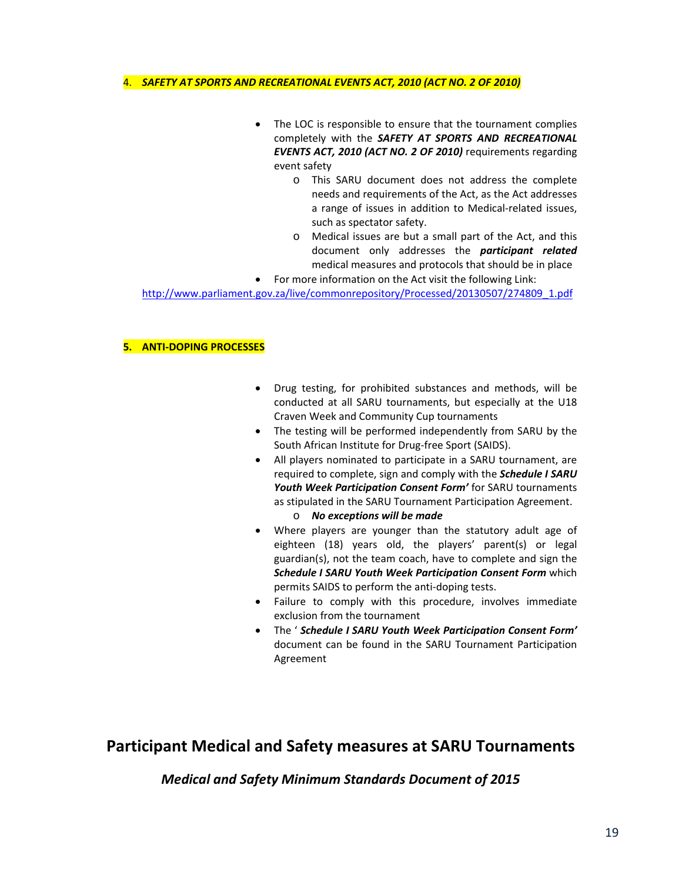#### 4. *SAFETY AT SPORTS AND RECREATIONAL EVENTS ACT, 2010 (ACT NO. 2 OF 2010)*

- The LOC is responsible to ensure that the tournament complies completely with the *SAFETY AT SPORTS AND RECREATIONAL EVENTS ACT, 2010 (ACT NO. 2 OF 2010)* requirements regarding event safety
	- o This SARU document does not address the complete needs and requirements of the Act, as the Act addresses a range of issues in addition to Medical‐related issues, such as spectator safety.
	- o Medical issues are but a small part of the Act, and this document only addresses the *participant related* medical measures and protocols that should be in place
- For more information on the Act visit the following Link:

http://www.parliament.gov.za/live/commonrepository/Processed/20130507/274809\_1.pdf

### **5. ANTI‐DOPING PROCESSES**

- Drug testing, for prohibited substances and methods, will be conducted at all SARU tournaments, but especially at the U18 Craven Week and Community Cup tournaments
- The testing will be performed independently from SARU by the South African Institute for Drug‐free Sport (SAIDS).
- All players nominated to participate in a SARU tournament, are required to complete, sign and comply with the *Schedule I SARU Youth Week Participation Consent Form'* for SARU tournaments as stipulated in the SARU Tournament Participation Agreement.
	- o *No exceptions will be made*
- Where players are younger than the statutory adult age of eighteen (18) years old, the players' parent(s) or legal guardian(s), not the team coach, have to complete and sign the *Schedule I SARU Youth Week Participation Consent Form* which permits SAIDS to perform the anti‐doping tests.
- Failure to comply with this procedure, involves immediate exclusion from the tournament
- The ' *Schedule I SARU Youth Week Participation Consent Form'* document can be found in the SARU Tournament Participation Agreement

# **Participant Medical and Safety measures at SARU Tournaments**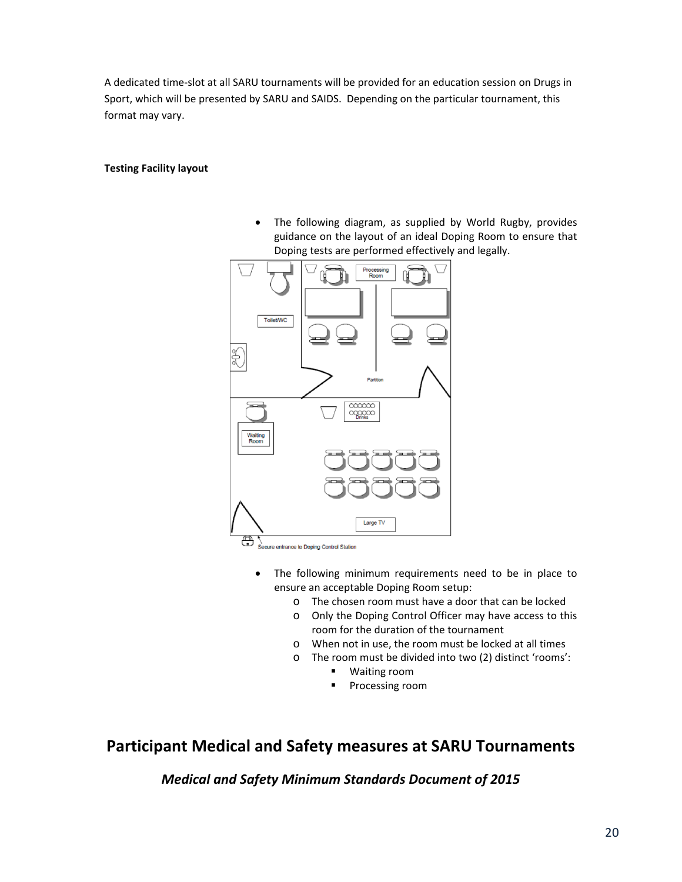A dedicated time‐slot at all SARU tournaments will be provided for an education session on Drugs in Sport, which will be presented by SARU and SAIDS. Depending on the particular tournament, this format may vary.

### **Testing Facility layout**

 The following diagram, as supplied by World Rugby, provides guidance on the layout of an ideal Doping Room to ensure that Doping tests are performed effectively and legally.



₩ Secure entrance to Doping Control Station

- The following minimum requirements need to be in place to ensure an acceptable Doping Room setup:
	- o The chosen room must have a door that can be locked
	- o Only the Doping Control Officer may have access to this room for the duration of the tournament
	- o When not in use, the room must be locked at all times
	- o The room must be divided into two (2) distinct 'rooms':
		- Waiting room
		- **Processing room**

# **Participant Medical and Safety measures at SARU Tournaments**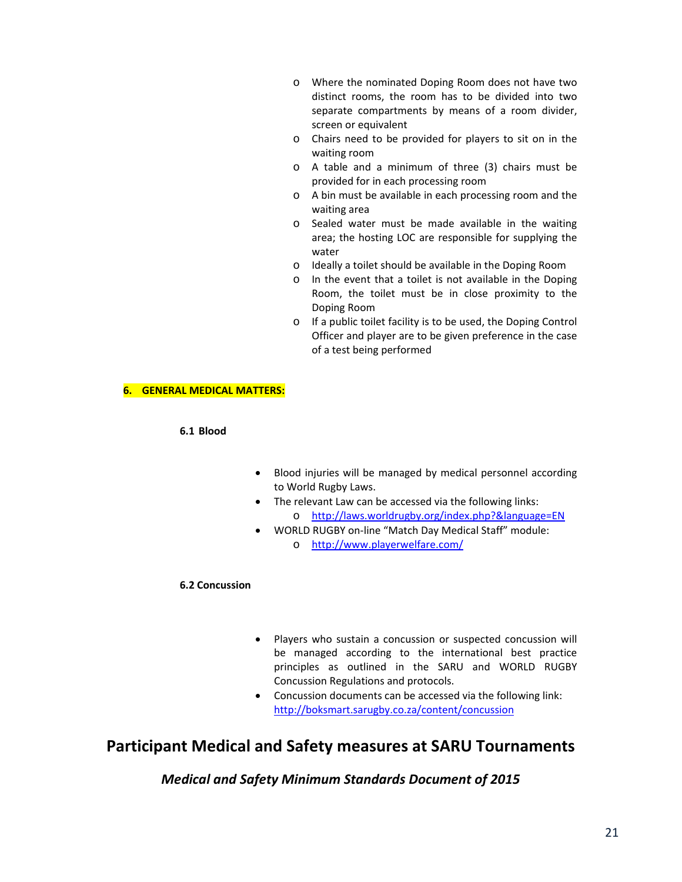- o Where the nominated Doping Room does not have two distinct rooms, the room has to be divided into two separate compartments by means of a room divider, screen or equivalent
- o Chairs need to be provided for players to sit on in the waiting room
- o A table and a minimum of three (3) chairs must be provided for in each processing room
- o A bin must be available in each processing room and the waiting area
- o Sealed water must be made available in the waiting area; the hosting LOC are responsible for supplying the water
- o Ideally a toilet should be available in the Doping Room
- o In the event that a toilet is not available in the Doping Room, the toilet must be in close proximity to the Doping Room
- o If a public toilet facility is to be used, the Doping Control Officer and player are to be given preference in the case of a test being performed

#### **6. GENERAL MEDICAL MATTERS:**

#### **6.1 Blood**

- Blood injuries will be managed by medical personnel according to World Rugby Laws.
- The relevant Law can be accessed via the following links: o http://laws.worldrugby.org/index.php?&language=EN
- WORLD RUGBY on‐line "Match Day Medical Staff" module: o http://www.playerwelfare.com/

#### **6.2 Concussion**

- Players who sustain a concussion or suspected concussion will be managed according to the international best practice principles as outlined in the SARU and WORLD RUGBY Concussion Regulations and protocols.
- Concussion documents can be accessed via the following link: http://boksmart.sarugby.co.za/content/concussion

# **Participant Medical and Safety measures at SARU Tournaments**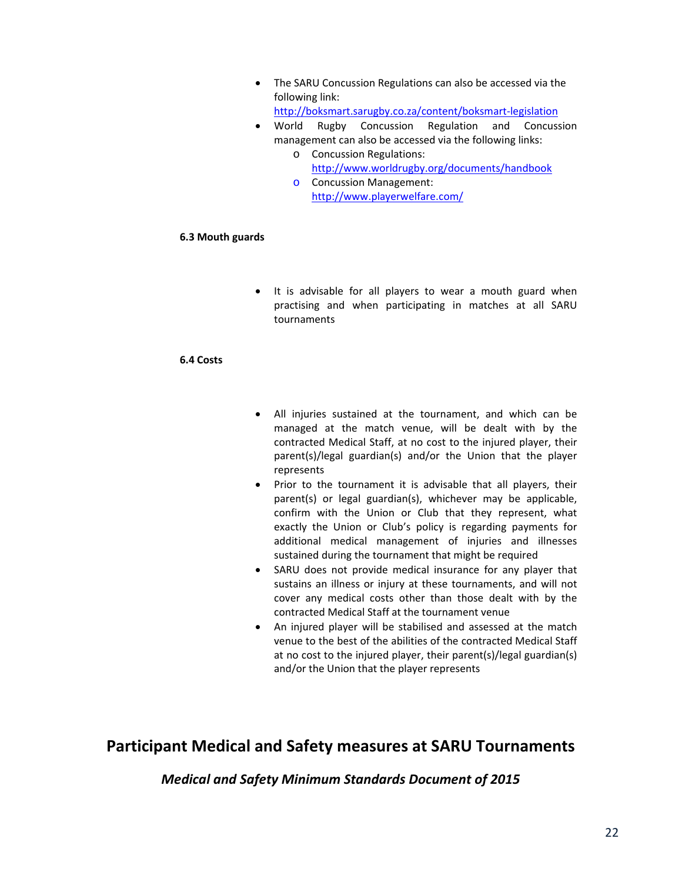The SARU Concussion Regulations can also be accessed via the following link:

http://boksmart.sarugby.co.za/content/boksmart‐legislation

- World Rugby Concussion Regulation and Concussion management can also be accessed via the following links:
	- o Concussion Regulations: http://www.worldrugby.org/documents/handbook
	- o Concussion Management: http://www.playerwelfare.com/

### **6.3 Mouth guards**

• It is advisable for all players to wear a mouth guard when practising and when participating in matches at all SARU tournaments

### **6.4 Costs**

- All injuries sustained at the tournament, and which can be managed at the match venue, will be dealt with by the contracted Medical Staff, at no cost to the injured player, their parent(s)/legal guardian(s) and/or the Union that the player represents
- Prior to the tournament it is advisable that all players, their parent(s) or legal guardian(s), whichever may be applicable, confirm with the Union or Club that they represent, what exactly the Union or Club's policy is regarding payments for additional medical management of injuries and illnesses sustained during the tournament that might be required
- SARU does not provide medical insurance for any player that sustains an illness or injury at these tournaments, and will not cover any medical costs other than those dealt with by the contracted Medical Staff at the tournament venue
- An injured player will be stabilised and assessed at the match venue to the best of the abilities of the contracted Medical Staff at no cost to the injured player, their parent(s)/legal guardian(s) and/or the Union that the player represents

# **Participant Medical and Safety measures at SARU Tournaments**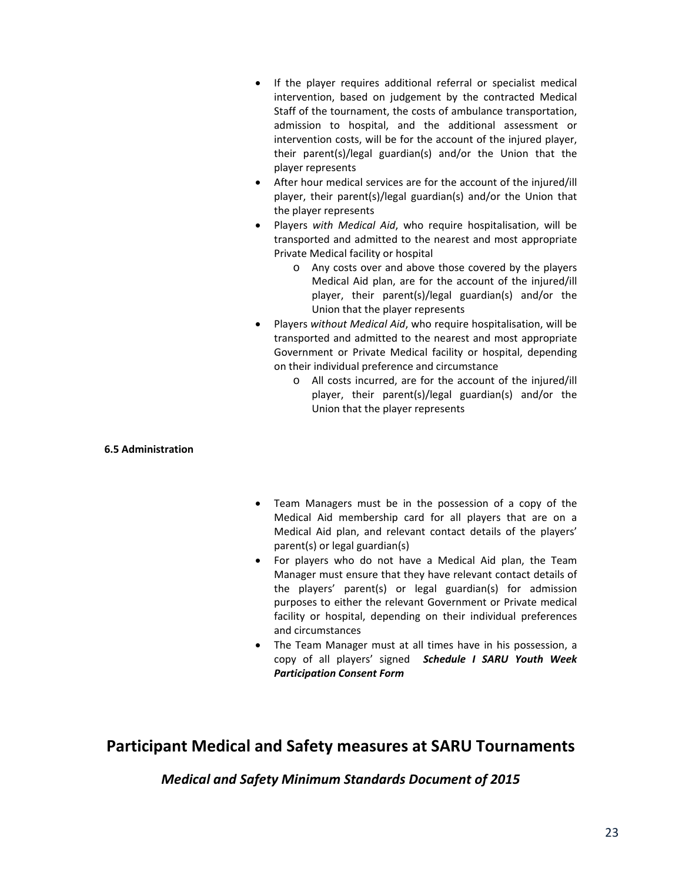- If the player requires additional referral or specialist medical intervention, based on judgement by the contracted Medical Staff of the tournament, the costs of ambulance transportation, admission to hospital, and the additional assessment or intervention costs, will be for the account of the injured player, their parent(s)/legal guardian(s) and/or the Union that the player represents
- After hour medical services are for the account of the injured/ill player, their parent(s)/legal guardian(s) and/or the Union that the player represents
- Players *with Medical Aid*, who require hospitalisation, will be transported and admitted to the nearest and most appropriate Private Medical facility or hospital
	- o Any costs over and above those covered by the players Medical Aid plan, are for the account of the injured/ill player, their parent(s)/legal guardian(s) and/or the Union that the player represents
- Players *without Medical Aid*, who require hospitalisation, will be transported and admitted to the nearest and most appropriate Government or Private Medical facility or hospital, depending on their individual preference and circumstance
	- o All costs incurred, are for the account of the injured/ill player, their parent(s)/legal guardian(s) and/or the Union that the player represents

### **6.5 Administration**

- Team Managers must be in the possession of a copy of the Medical Aid membership card for all players that are on a Medical Aid plan, and relevant contact details of the players' parent(s) or legal guardian(s)
- For players who do not have a Medical Aid plan, the Team Manager must ensure that they have relevant contact details of the players' parent(s) or legal guardian(s) for admission purposes to either the relevant Government or Private medical facility or hospital, depending on their individual preferences and circumstances
- The Team Manager must at all times have in his possession, a copy of all players' signed *Schedule I SARU Youth Week Participation Consent Form*

# **Participant Medical and Safety measures at SARU Tournaments**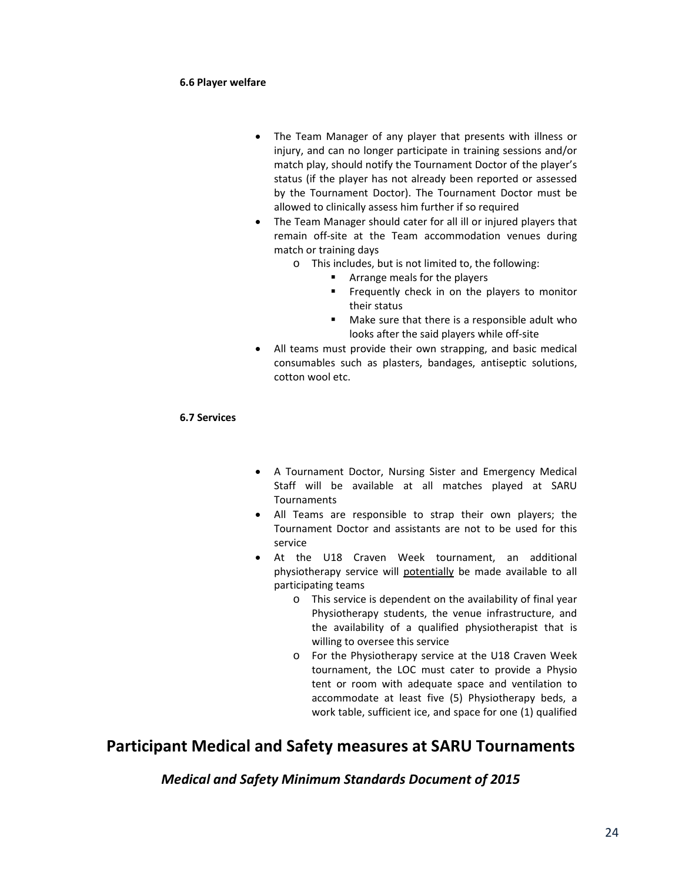#### **6.6 Player welfare**

- The Team Manager of any player that presents with illness or injury, and can no longer participate in training sessions and/or match play, should notify the Tournament Doctor of the player's status (if the player has not already been reported or assessed by the Tournament Doctor). The Tournament Doctor must be allowed to clinically assess him further if so required
- The Team Manager should cater for all ill or injured players that remain off‐site at the Team accommodation venues during match or training days
	- o This includes, but is not limited to, the following:
		- **EXTERG** 1 Arrange meals for the players
		- **Figure 1** Frequently check in on the players to monitor their status
		- Make sure that there is a responsible adult who looks after the said players while off‐site
- All teams must provide their own strapping, and basic medical consumables such as plasters, bandages, antiseptic solutions, cotton wool etc.

### **6.7 Services**

- A Tournament Doctor, Nursing Sister and Emergency Medical Staff will be available at all matches played at SARU Tournaments
- All Teams are responsible to strap their own players; the Tournament Doctor and assistants are not to be used for this service
- At the U18 Craven Week tournament, an additional physiotherapy service will potentially be made available to all participating teams
	- o This service is dependent on the availability of final year Physiotherapy students, the venue infrastructure, and the availability of a qualified physiotherapist that is willing to oversee this service
	- o For the Physiotherapy service at the U18 Craven Week tournament, the LOC must cater to provide a Physio tent or room with adequate space and ventilation to accommodate at least five (5) Physiotherapy beds, a work table, sufficient ice, and space for one (1) qualified

# **Participant Medical and Safety measures at SARU Tournaments**